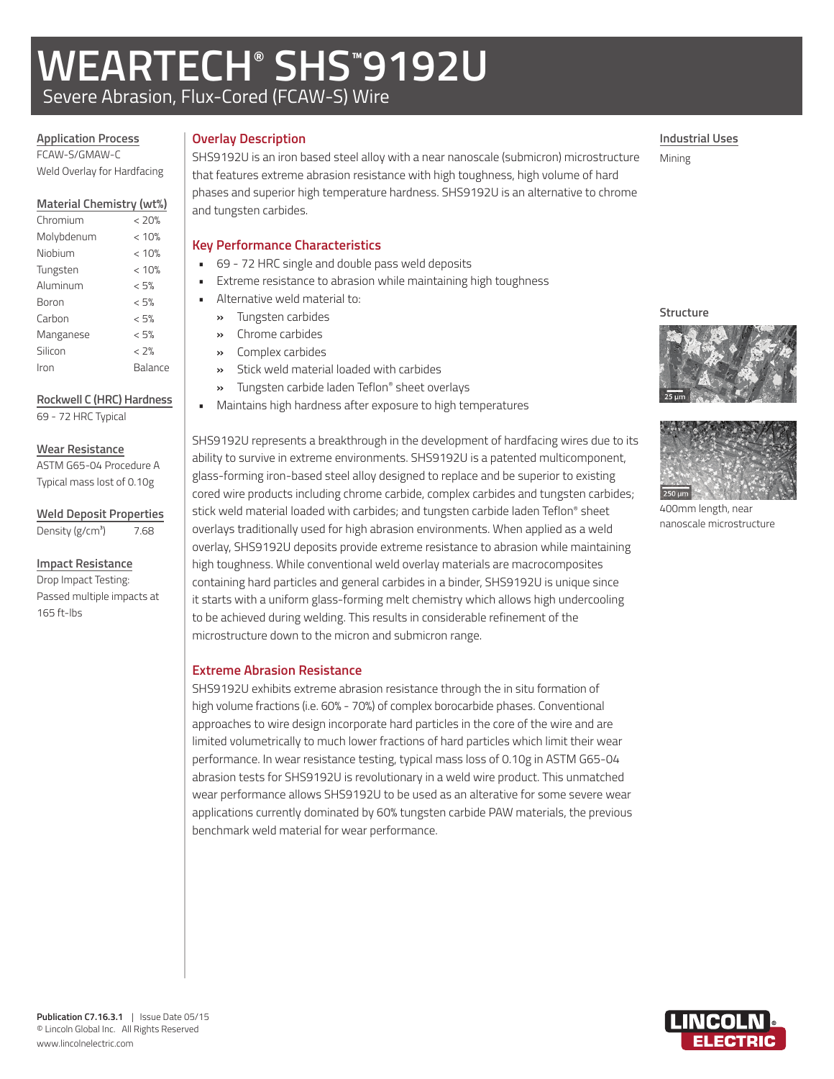# **WEARTECH® SHS™ 9192U**

Severe Abrasion, Flux-Cored (FCAW-S) Wire

### **Application Process** FCAW-S/GMAW-C

Weld Overlay for Hardfacing

### **Material Chemistry (wt%)**

| Chromium   | < 20%   |
|------------|---------|
| Molybdenum | < 10%   |
| Niobium    | < 10%   |
| Tungsten   | < 10%   |
| Aluminum   | < 5%    |
| Boron      | < 5%    |
| Carbon     | < 5%    |
| Manganese  | < 5%    |
| Silicon    | < 2%    |
| Iron       | Balance |

### **Rockwell C (HRC) Hardness**

69 - 72 HRC Typical

### **Wear Resistance**

ASTM G65-04 Procedure A Typical mass lost of 0.10g

**Weld Deposit Properties**

Density  $(g/cm<sup>3</sup>)$  7.68

### **Impact Resistance**

Drop Impact Testing: Passed multiple impacts at 165 ft-lbs

### **Overlay Description**

SHS9192U is an iron based steel alloy with a near nanoscale (submicron) microstructure that features extreme abrasion resistance with high toughness, high volume of hard phases and superior high temperature hardness. SHS9192U is an alternative to chrome and tungsten carbides.

### **Key Performance Characteristics**

- 69 72 HRC single and double pass weld deposits
	- Extreme resistance to abrasion while maintaining high toughness
	- Alternative weld material to:
	- **»** Tungsten carbides
	- **»** Chrome carbides
	- **»** Complex carbides
	- **»** Stick weld material loaded with carbides
	- **»** Tungsten carbide laden Teflon® sheet overlays
	- Maintains high hardness after exposure to high temperatures

SHS9192U represents a breakthrough in the development of hardfacing wires due to its ability to survive in extreme environments. SHS9192U is a patented multicomponent, glass-forming iron-based steel alloy designed to replace and be superior to existing cored wire products including chrome carbide, complex carbides and tungsten carbides; stick weld material loaded with carbides; and tungsten carbide laden Teflon® sheet overlays traditionally used for high abrasion environments. When applied as a weld overlay, SHS9192U deposits provide extreme resistance to abrasion while maintaining high toughness. While conventional weld overlay materials are macrocomposites containing hard particles and general carbides in a binder, SHS9192U is unique since it starts with a uniform glass-forming melt chemistry which allows high undercooling to be achieved during welding. This results in considerable refinement of the microstructure down to the micron and submicron range.

### **Extreme Abrasion Resistance**

SHS9192U exhibits extreme abrasion resistance through the in situ formation of high volume fractions (i.e. 60% - 70%) of complex borocarbide phases. Conventional approaches to wire design incorporate hard particles in the core of the wire and are limited volumetrically to much lower fractions of hard particles which limit their wear performance. In wear resistance testing, typical mass loss of 0.10g in ASTM G65-04 abrasion tests for SHS9192U is revolutionary in a weld wire product. This unmatched wear performance allows SHS9192U to be used as an alterative for some severe wear applications currently dominated by 60% tungsten carbide PAW materials, the previous benchmark weld material for wear performance.





400mm length, near nanoscale microstructure





**Industrial Uses**

Mining